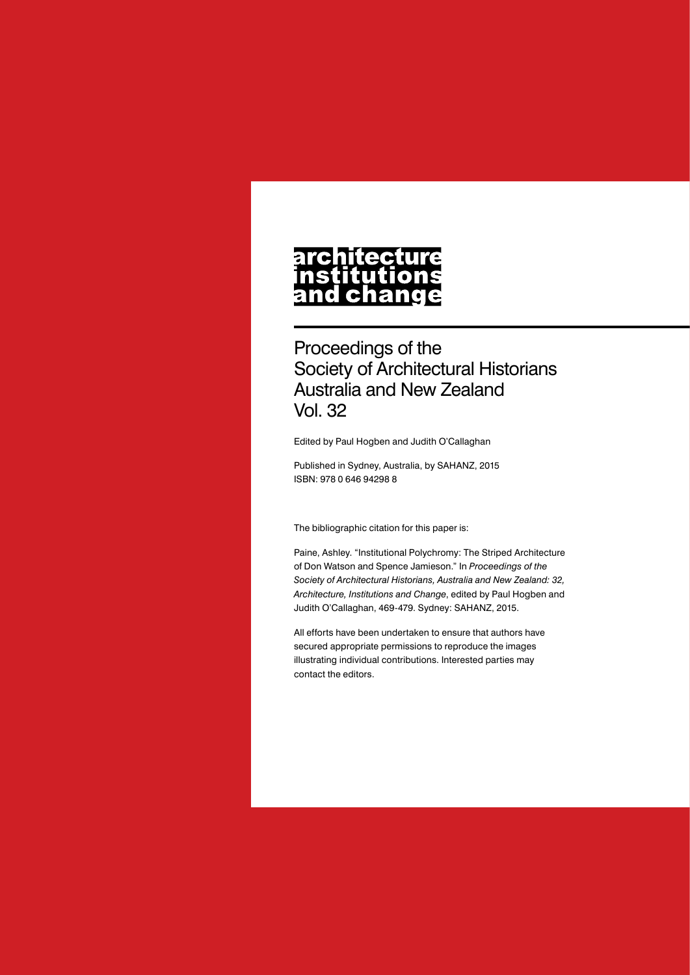# architecture nstitutions<br>nstitutions<br>and change

Proceedings of the Society of Architectural Historians Australia and New Zealand Vol. 32

Edited by Paul Hogben and Judith O'Callaghan

Published in Sydney, Australia, by SAHANZ, 2015 ISBN: 978 0 646 94298 8

The bibliographic citation for this paper is:

Paine, Ashley. "Institutional Polychromy: The Striped Architecture of Don Watson and Spence Jamieson." In *Proceedings of the Society of Architectural Historians, Australia and New Zealand: 32, Architecture, Institutions and Change*, edited by Paul Hogben and Judith O'Callaghan, 469-479. Sydney: SAHANZ, 2015.

All efforts have been undertaken to ensure that authors have secured appropriate permissions to reproduce the images illustrating individual contributions. Interested parties may contact the editors.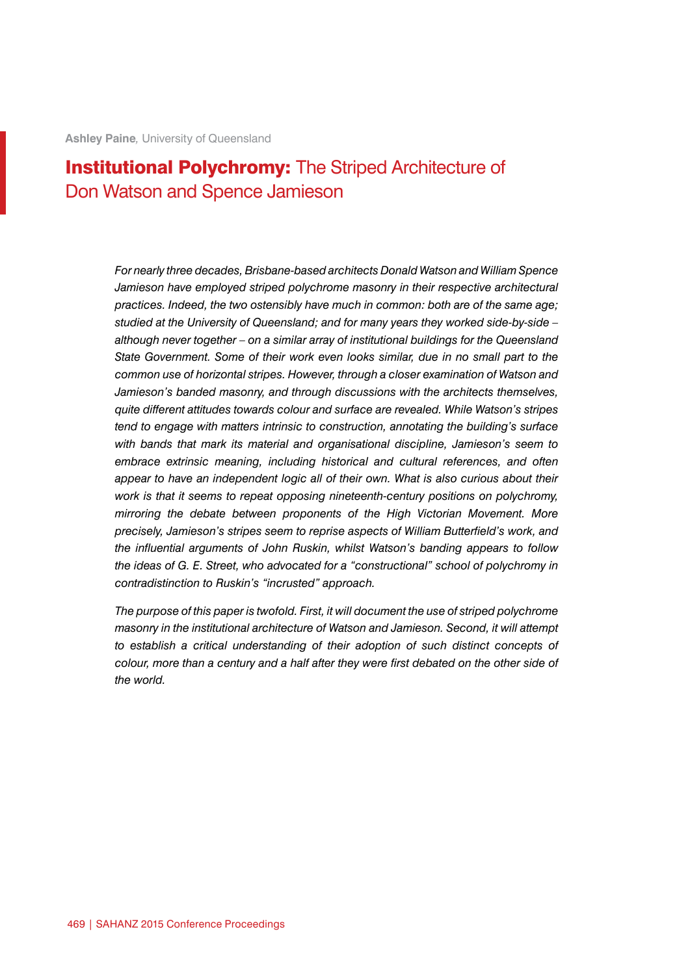# **Institutional Polychromy:** The Striped Architecture of Don Watson and Spence Jamieson

*For nearly three decades, Brisbane-based architects Donald Watson and William Spence Jamieson have employed striped polychrome masonry in their respective architectural practices. Indeed, the two ostensibly have much in common: both are of the same age; studied at the University of Queensland; and for many years they worked side-by-side – although never together – on a similar array of institutional buildings for the Queensland State Government. Some of their work even looks similar, due in no small part to the common use of horizontal stripes. However, through a closer examination of Watson and Jamieson's banded masonry, and through discussions with the architects themselves, quite different attitudes towards colour and surface are revealed. While Watson's stripes tend to engage with matters intrinsic to construction, annotating the building's surface with bands that mark its material and organisational discipline, Jamieson's seem to embrace extrinsic meaning, including historical and cultural references, and often appear to have an independent logic all of their own. What is also curious about their work is that it seems to repeat opposing nineteenth-century positions on polychromy, mirroring the debate between proponents of the High Victorian Movement. More precisely, Jamieson's stripes seem to reprise aspects of William Butterfield's work, and the influential arguments of John Ruskin, whilst Watson's banding appears to follow the ideas of G. E. Street, who advocated for a "constructional" school of polychromy in contradistinction to Ruskin's "incrusted" approach.*

*The purpose of this paper is twofold. First, it will document the use of striped polychrome masonry in the institutional architecture of Watson and Jamieson. Second, it will attempt to establish a critical understanding of their adoption of such distinct concepts of colour, more than a century and a half after they were first debated on the other side of the world.*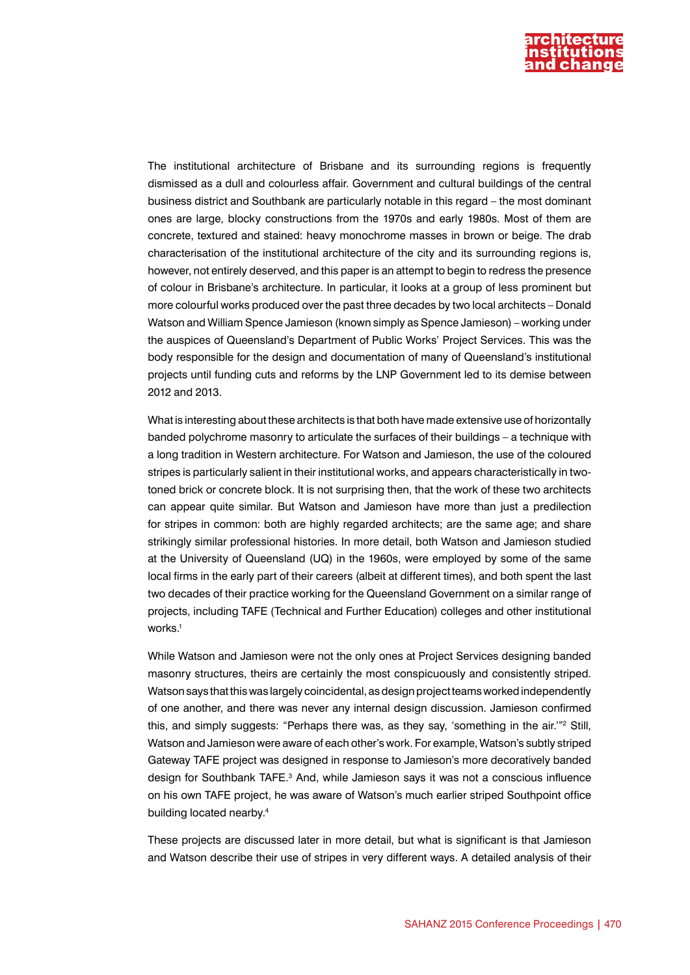

The institutional architecture of Brisbane and its surrounding regions is frequently dismissed as a dull and colourless affair. Government and cultural buildings of the central business district and Southbank are particularly notable in this regard – the most dominant ones are large, blocky constructions from the 1970s and early 1980s. Most of them are concrete, textured and stained: heavy monochrome masses in brown or beige. The drab characterisation of the institutional architecture of the city and its surrounding regions is, however, not entirely deserved, and this paper is an attempt to begin to redress the presence of colour in Brisbane's architecture. In particular, it looks at a group of less prominent but more colourful works produced over the past three decades by two local architects – Donald Watson and William Spence Jamieson (known simply as Spence Jamieson) – working under the auspices of Queensland's Department of Public Works' Project Services. This was the body responsible for the design and documentation of many of Queensland's institutional projects until funding cuts and reforms by the LNP Government led to its demise between 2012 and 2013.

What is interesting about these architects is that both have made extensive use of horizontally banded polychrome masonry to articulate the surfaces of their buildings – a technique with a long tradition in Western architecture. For Watson and Jamieson, the use of the coloured stripes is particularly salient in their institutional works, and appears characteristically in twotoned brick or concrete block. It is not surprising then, that the work of these two architects can appear quite similar. But Watson and Jamieson have more than just a predilection for stripes in common: both are highly regarded architects; are the same age; and share strikingly similar professional histories. In more detail, both Watson and Jamieson studied at the University of Queensland (UQ) in the 1960s, were employed by some of the same local firms in the early part of their careers (albeit at different times), and both spent the last two decades of their practice working for the Queensland Government on a similar range of projects, including TAFE (Technical and Further Education) colleges and other institutional works.<sup>1</sup>

While Watson and Jamieson were not the only ones at Project Services designing banded masonry structures, theirs are certainly the most conspicuously and consistently striped. Watson says that this was largely coincidental, as design project teams worked independently of one another, and there was never any internal design discussion. Jamieson confirmed this, and simply suggests: "Perhaps there was, as they say, 'something in the air.""<sup>2</sup> Still, Watson and Jamieson were aware of each other's work. For example, Watson's subtly striped Gateway TAFE project was designed in response to Jamieson's more decoratively banded design for Southbank TAFE.<sup>3</sup> And, while Jamieson says it was not a conscious influence on his own TAFE project, he was aware of Watson's much earlier striped Southpoint office building located nearby.4

These projects are discussed later in more detail, but what is significant is that Jamieson and Watson describe their use of stripes in very different ways. A detailed analysis of their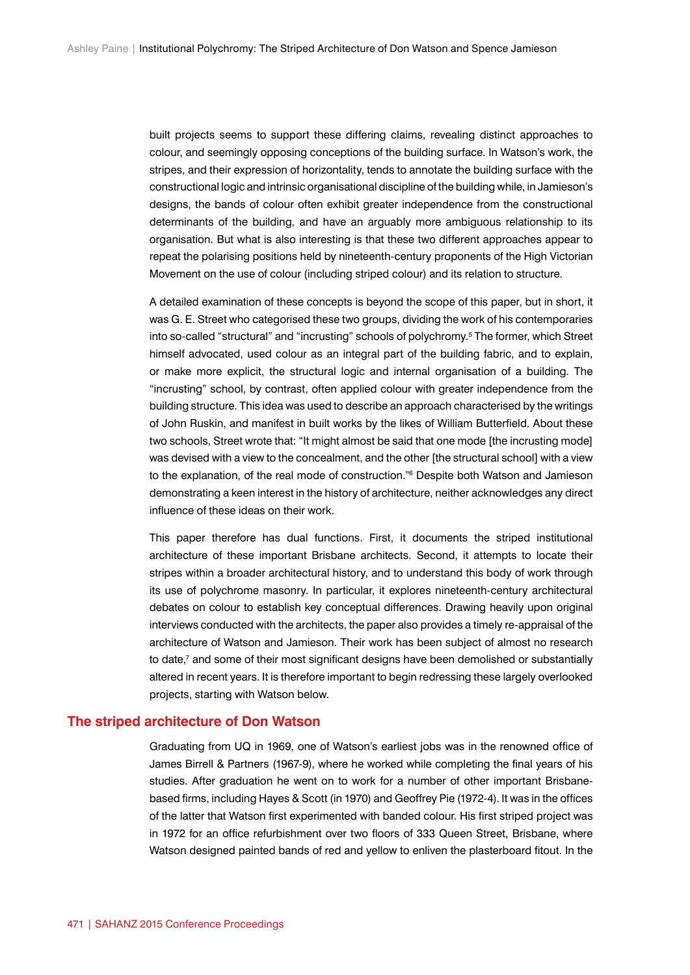built projects seems to support these differing claims, revealing distinct approaches to colour, and seemingly opposing conceptions of the building surface. In Watson's work, the stripes, and their expression of horizontality, tends to annotate the building surface with the constructional logic and intrinsic organisational discipline of the building while, in Jamieson's designs, the bands of colour often exhibit greater independence from the constructional determinants of the building, and have an arguably more ambiguous relationship to its organisation. But what is also interesting is that these two different approaches appear to repeat the polarising positions held by nineteenth-century proponents of the High Victorian Movement on the use of colour (including striped colour) and its relation to structure.

A detailed examination of these concepts is beyond the scope of this paper, but in short, it was G. E. Street who categorised these two groups, dividing the work of his contemporaries into so-called "structural" and "incrusting" schools of polychromy.5 The former, which Street himself advocated, used colour as an integral part of the building fabric, and to explain, or make more explicit, the structural logic and internal organisation of a building. The "incrusting" school, by contrast, often applied colour with greater independence from the building structure. This idea was used to describe an approach characterised by the writings of John Ruskin, and manifest in built works by the likes of William Butterfield. About these two schools, Street wrote that: "It might almost be said that one mode [the incrusting mode] was devised with a view to the concealment, and the other [the structural school] with a view to the explanation, of the real mode of construction."6 Despite both Watson and Jamieson demonstrating a keen interest in the history of architecture, neither acknowledges any direct influence of these ideas on their work.

This paper therefore has dual functions. First, it documents the striped institutional architecture of these important Brisbane architects. Second, it attempts to locate their stripes within a broader architectural history, and to understand this body of work through its use of polychrome masonry. In particular, it explores nineteenth-century architectural debates on colour to establish key conceptual differences. Drawing heavily upon original interviews conducted with the architects, the paper also provides a timely re-appraisal of the architecture of Watson and Jamieson. Their work has been subject of almost no research to date,<sup>7</sup> and some of their most significant designs have been demolished or substantially altered in recent years. It is therefore important to begin redressing these largely overlooked projects, starting with Watson below.

### **The striped architecture of Don Watson**

Graduating from UQ in 1969, one of Watson's earliest jobs was in the renowned office of James Birrell & Partners (1967-9), where he worked while completing the final years of his studies. After graduation he went on to work for a number of other important Brisbanebased firms, including Hayes & Scott (in 1970) and Geoffrey Pie (1972-4). It was in the offices of the latter that Watson first experimented with banded colour. His first striped project was in 1972 for an office refurbishment over two floors of 333 Queen Street, Brisbane, where Watson designed painted bands of red and yellow to enliven the plasterboard fitout. In the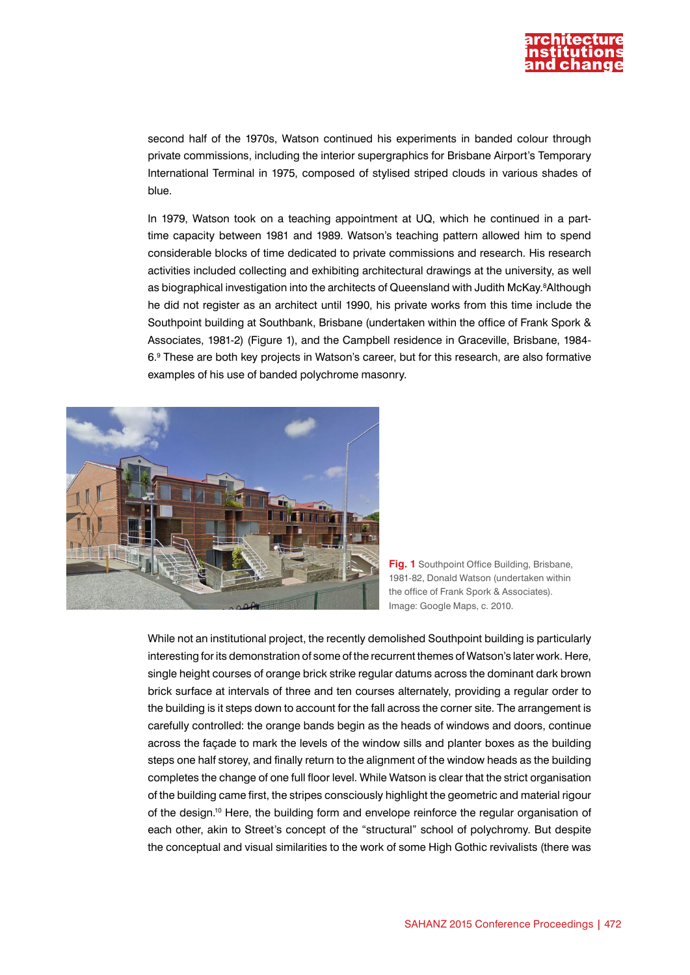

second half of the 1970s, Watson continued his experiments in banded colour through private commissions, including the interior supergraphics for Brisbane Airport's Temporary International Terminal in 1975, composed of stylised striped clouds in various shades of blue.

In 1979, Watson took on a teaching appointment at UQ, which he continued in a parttime capacity between 1981 and 1989. Watson's teaching pattern allowed him to spend considerable blocks of time dedicated to private commissions and research. His research activities included collecting and exhibiting architectural drawings at the university, as well as biographical investigation into the architects of Queensland with Judith McKay.8Although he did not register as an architect until 1990, his private works from this time include the Southpoint building at Southbank, Brisbane (undertaken within the office of Frank Spork & Associates, 1981-2) (Figure 1), and the Campbell residence in Graceville, Brisbane, 1984- 6.9 These are both key projects in Watson's career, but for this research, are also formative examples of his use of banded polychrome masonry.



**Fig. 1** Southpoint Office Building, Brisbane, 1981-82, Donald Watson (undertaken within the office of Frank Spork & Associates). Image: Google Maps, c. 2010.

While not an institutional project, the recently demolished Southpoint building is particularly interesting for its demonstration of some of the recurrent themes of Watson's later work. Here, single height courses of orange brick strike regular datums across the dominant dark brown brick surface at intervals of three and ten courses alternately, providing a regular order to the building is it steps down to account for the fall across the corner site. The arrangement is carefully controlled: the orange bands begin as the heads of windows and doors, continue across the façade to mark the levels of the window sills and planter boxes as the building steps one half storey, and finally return to the alignment of the window heads as the building completes the change of one full floor level. While Watson is clear that the strict organisation of the building came first, the stripes consciously highlight the geometric and material rigour of the design.10 Here, the building form and envelope reinforce the regular organisation of each other, akin to Street's concept of the "structural" school of polychromy. But despite the conceptual and visual similarities to the work of some High Gothic revivalists (there was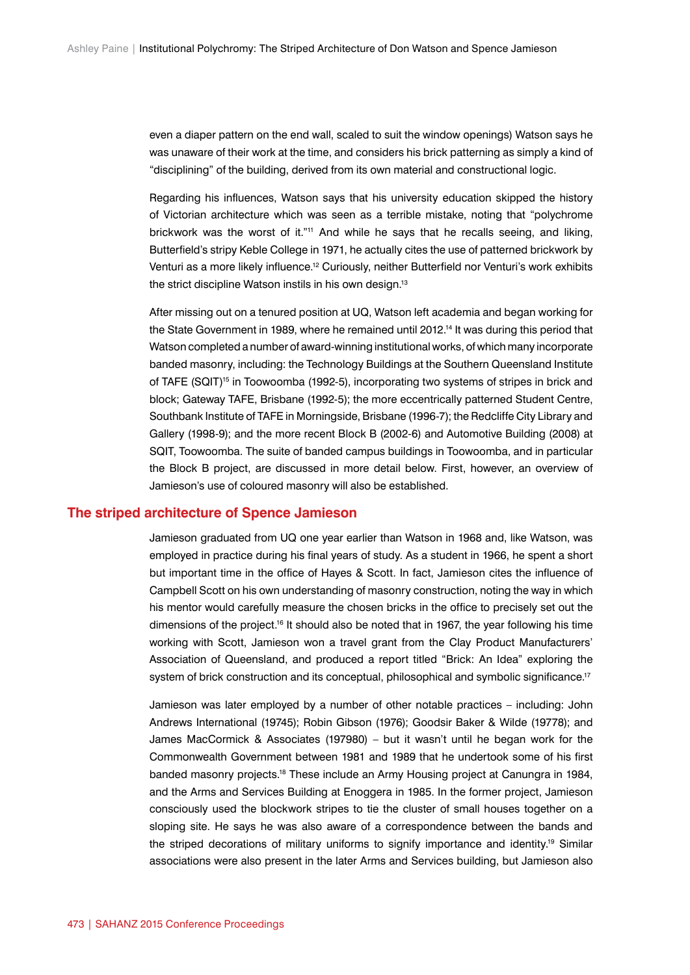even a diaper pattern on the end wall, scaled to suit the window openings) Watson says he was unaware of their work at the time, and considers his brick patterning as simply a kind of "disciplining" of the building, derived from its own material and constructional logic.

Regarding his influences, Watson says that his university education skipped the history of Victorian architecture which was seen as a terrible mistake, noting that "polychrome brickwork was the worst of it."11 And while he says that he recalls seeing, and liking, Butterfield's stripy Keble College in 1971, he actually cites the use of patterned brickwork by Venturi as a more likely influence.12 Curiously, neither Butterfield nor Venturi's work exhibits the strict discipline Watson instils in his own design.<sup>13</sup>

After missing out on a tenured position at UQ, Watson left academia and began working for the State Government in 1989, where he remained until 2012.<sup>14</sup> It was during this period that Watson completed a number of award-winning institutional works, of which many incorporate banded masonry, including: the Technology Buildings at the Southern Queensland Institute of TAFE (SQIT)<sup>15</sup> in Toowoomba (1992-5), incorporating two systems of stripes in brick and block; Gateway TAFE, Brisbane (1992-5); the more eccentrically patterned Student Centre, Southbank Institute of TAFE in Morningside, Brisbane (1996-7); the Redcliffe City Library and Gallery (1998-9); and the more recent Block B (2002-6) and Automotive Building (2008) at SQIT, Toowoomba. The suite of banded campus buildings in Toowoomba, and in particular the Block B project, are discussed in more detail below. First, however, an overview of Jamieson's use of coloured masonry will also be established.

#### **The striped architecture of Spence Jamieson**

Jamieson graduated from UQ one year earlier than Watson in 1968 and, like Watson, was employed in practice during his final years of study. As a student in 1966, he spent a short but important time in the office of Hayes & Scott. In fact, Jamieson cites the influence of Campbell Scott on his own understanding of masonry construction, noting the way in which his mentor would carefully measure the chosen bricks in the office to precisely set out the dimensions of the project.16 It should also be noted that in 1967, the year following his time working with Scott, Jamieson won a travel grant from the Clay Product Manufacturers' Association of Queensland, and produced a report titled "Brick: An Idea" exploring the system of brick construction and its conceptual, philosophical and symbolic significance.<sup>17</sup>

Jamieson was later employed by a number of other notable practices – including: John Andrews International (19745); Robin Gibson (1976); Goodsir Baker & Wilde (19778); and James MacCormick & Associates (197980) – but it wasn't until he began work for the Commonwealth Government between 1981 and 1989 that he undertook some of his first banded masonry projects.<sup>18</sup> These include an Army Housing project at Canungra in 1984, and the Arms and Services Building at Enoggera in 1985. In the former project, Jamieson consciously used the blockwork stripes to tie the cluster of small houses together on a sloping site. He says he was also aware of a correspondence between the bands and the striped decorations of military uniforms to signify importance and identity.19 Similar associations were also present in the later Arms and Services building, but Jamieson also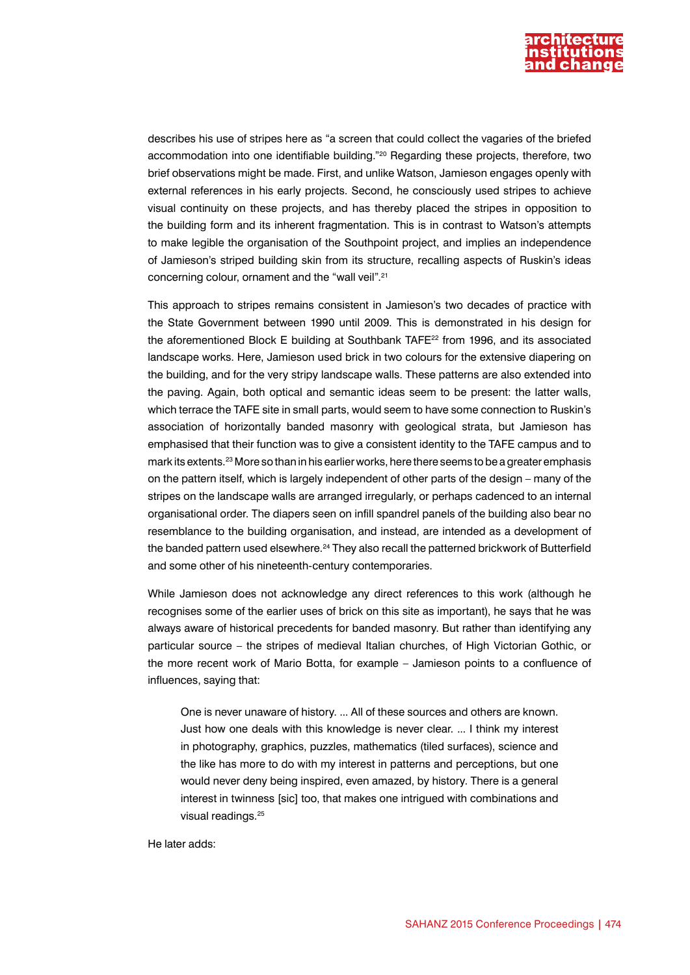

describes his use of stripes here as "a screen that could collect the vagaries of the briefed accommodation into one identifiable building."20 Regarding these projects, therefore, two brief observations might be made. First, and unlike Watson, Jamieson engages openly with external references in his early projects. Second, he consciously used stripes to achieve visual continuity on these projects, and has thereby placed the stripes in opposition to the building form and its inherent fragmentation. This is in contrast to Watson's attempts to make legible the organisation of the Southpoint project, and implies an independence of Jamieson's striped building skin from its structure, recalling aspects of Ruskin's ideas concerning colour, ornament and the "wall veil".21

This approach to stripes remains consistent in Jamieson's two decades of practice with the State Government between 1990 until 2009. This is demonstrated in his design for the aforementioned Block E building at Southbank TAFE22 from 1996, and its associated landscape works. Here, Jamieson used brick in two colours for the extensive diapering on the building, and for the very stripy landscape walls. These patterns are also extended into the paving. Again, both optical and semantic ideas seem to be present: the latter walls, which terrace the TAFE site in small parts, would seem to have some connection to Ruskin's association of horizontally banded masonry with geological strata, but Jamieson has emphasised that their function was to give a consistent identity to the TAFE campus and to mark its extents.23 More so than in his earlier works, here there seems to be a greater emphasis on the pattern itself, which is largely independent of other parts of the design – many of the stripes on the landscape walls are arranged irregularly, or perhaps cadenced to an internal organisational order. The diapers seen on infill spandrel panels of the building also bear no resemblance to the building organisation, and instead, are intended as a development of the banded pattern used elsewhere.24 They also recall the patterned brickwork of Butterfield and some other of his nineteenth-century contemporaries.

While Jamieson does not acknowledge any direct references to this work (although he recognises some of the earlier uses of brick on this site as important), he says that he was always aware of historical precedents for banded masonry. But rather than identifying any particular source – the stripes of medieval Italian churches, of High Victorian Gothic, or the more recent work of Mario Botta, for example – Jamieson points to a confluence of influences, saying that:

One is never unaware of history. ... All of these sources and others are known. Just how one deals with this knowledge is never clear. ... I think my interest in photography, graphics, puzzles, mathematics (tiled surfaces), science and the like has more to do with my interest in patterns and perceptions, but one would never deny being inspired, even amazed, by history. There is a general interest in twinness [sic] too, that makes one intrigued with combinations and visual readings.<sup>25</sup>

He later adds: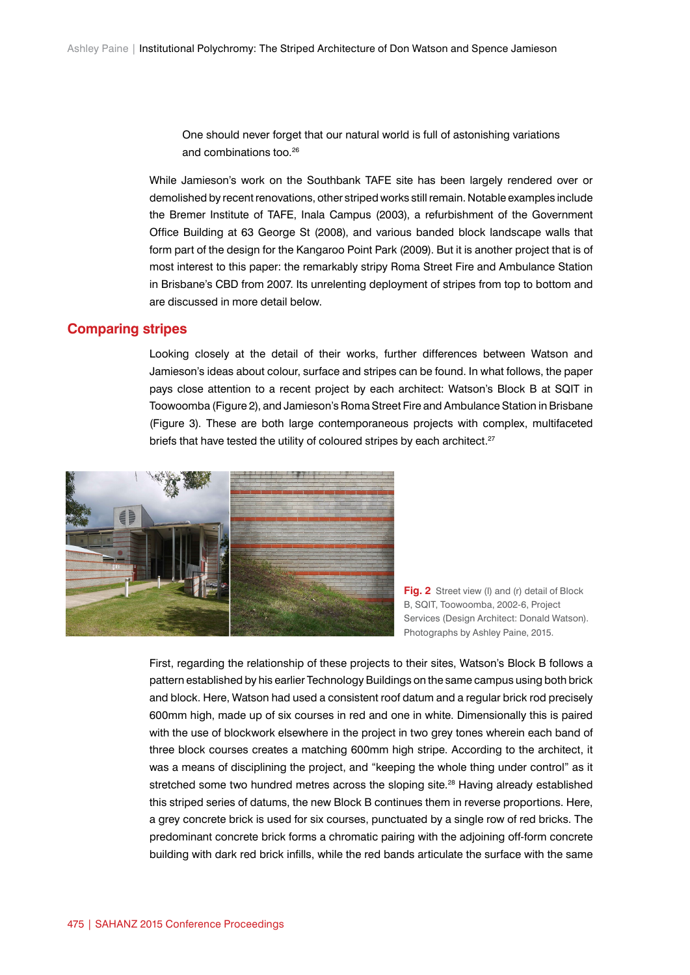One should never forget that our natural world is full of astonishing variations and combinations too.26

While Jamieson's work on the Southbank TAFE site has been largely rendered over or demolished by recent renovations, other striped works still remain. Notable examples include the Bremer Institute of TAFE, Inala Campus (2003), a refurbishment of the Government Office Building at 63 George St (2008), and various banded block landscape walls that form part of the design for the Kangaroo Point Park (2009). But it is another project that is of most interest to this paper: the remarkably stripy Roma Street Fire and Ambulance Station in Brisbane's CBD from 2007. Its unrelenting deployment of stripes from top to bottom and are discussed in more detail below.

# **Comparing stripes**

Looking closely at the detail of their works, further differences between Watson and Jamieson's ideas about colour, surface and stripes can be found. In what follows, the paper pays close attention to a recent project by each architect: Watson's Block B at SQIT in Toowoomba (Figure 2), and Jamieson's Roma Street Fire and Ambulance Station in Brisbane (Figure 3). These are both large contemporaneous projects with complex, multifaceted briefs that have tested the utility of coloured stripes by each architect.<sup>27</sup>



**Fig. 2** Street view (I) and (r) detail of Block B, SQIT, Toowoomba, 2002-6, Project Services (Design Architect: Donald Watson). Photographs by Ashley Paine, 2015.

First, regarding the relationship of these projects to their sites, Watson's Block B follows a pattern established by his earlier Technology Buildings on the same campus using both brick and block. Here, Watson had used a consistent roof datum and a regular brick rod precisely 600mm high, made up of six courses in red and one in white. Dimensionally this is paired with the use of blockwork elsewhere in the project in two grey tones wherein each band of three block courses creates a matching 600mm high stripe. According to the architect, it was a means of disciplining the project, and "keeping the whole thing under control" as it stretched some two hundred metres across the sloping site.<sup>28</sup> Having already established this striped series of datums, the new Block B continues them in reverse proportions. Here, a grey concrete brick is used for six courses, punctuated by a single row of red bricks. The predominant concrete brick forms a chromatic pairing with the adjoining off-form concrete building with dark red brick infills, while the red bands articulate the surface with the same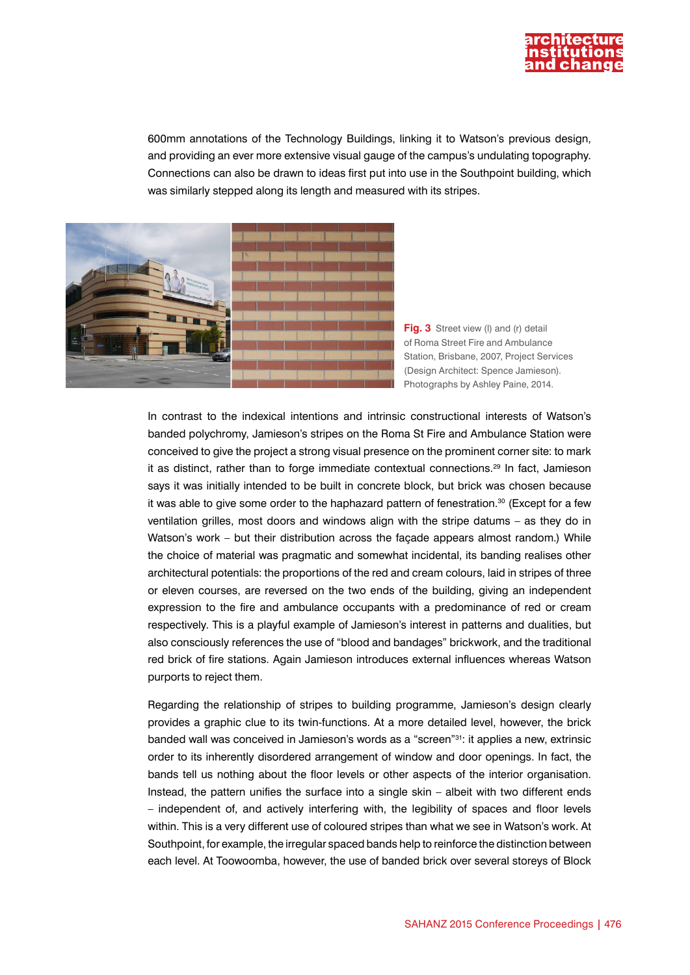

600mm annotations of the Technology Buildings, linking it to Watson's previous design, and providing an ever more extensive visual gauge of the campus's undulating topography. Connections can also be drawn to ideas first put into use in the Southpoint building, which was similarly stepped along its length and measured with its stripes.



**Fig. 3** Street view (I) and (r) detail of Roma Street Fire and Ambulance Station, Brisbane, 2007, Project Services (Design Architect: Spence Jamieson). Photographs by Ashley Paine, 2014.

In contrast to the indexical intentions and intrinsic constructional interests of Watson's banded polychromy, Jamieson's stripes on the Roma St Fire and Ambulance Station were conceived to give the project a strong visual presence on the prominent corner site: to mark it as distinct, rather than to forge immediate contextual connections.29 In fact, Jamieson says it was initially intended to be built in concrete block, but brick was chosen because it was able to give some order to the haphazard pattern of fenestration. $30$  (Except for a few ventilation grilles, most doors and windows align with the stripe datums – as they do in Watson's work – but their distribution across the façade appears almost random.) While the choice of material was pragmatic and somewhat incidental, its banding realises other architectural potentials: the proportions of the red and cream colours, laid in stripes of three or eleven courses, are reversed on the two ends of the building, giving an independent expression to the fire and ambulance occupants with a predominance of red or cream respectively. This is a playful example of Jamieson's interest in patterns and dualities, but also consciously references the use of "blood and bandages" brickwork, and the traditional red brick of fire stations. Again Jamieson introduces external influences whereas Watson purports to reject them.

Regarding the relationship of stripes to building programme, Jamieson's design clearly provides a graphic clue to its twin-functions. At a more detailed level, however, the brick banded wall was conceived in Jamieson's words as a "screen"31: it applies a new, extrinsic order to its inherently disordered arrangement of window and door openings. In fact, the bands tell us nothing about the floor levels or other aspects of the interior organisation. Instead, the pattern unifies the surface into a single skin – albeit with two different ends – independent of, and actively interfering with, the legibility of spaces and floor levels within. This is a very different use of coloured stripes than what we see in Watson's work. At Southpoint, for example, the irregular spaced bands help to reinforce the distinction between each level. At Toowoomba, however, the use of banded brick over several storeys of Block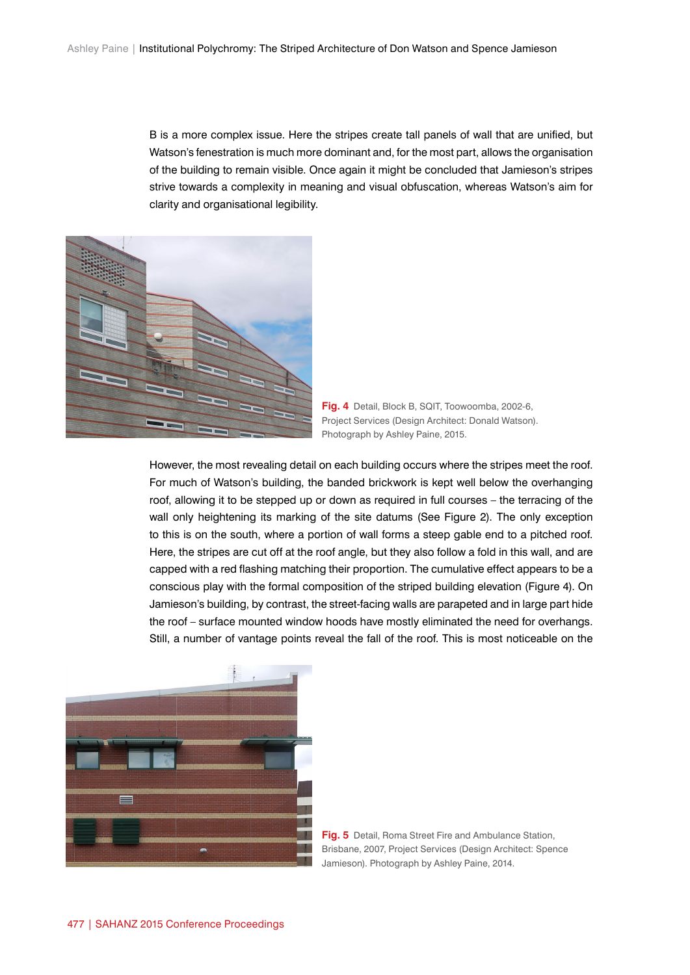B is a more complex issue. Here the stripes create tall panels of wall that are unified, but Watson's fenestration is much more dominant and, for the most part, allows the organisation of the building to remain visible. Once again it might be concluded that Jamieson's stripes strive towards a complexity in meaning and visual obfuscation, whereas Watson's aim for clarity and organisational legibility.



**Fig. 4** Detail, Block B, SQIT, Toowoomba, 2002-6, Project Services (Design Architect: Donald Watson). Photograph by Ashley Paine, 2015.

However, the most revealing detail on each building occurs where the stripes meet the roof. For much of Watson's building, the banded brickwork is kept well below the overhanging roof, allowing it to be stepped up or down as required in full courses – the terracing of the wall only heightening its marking of the site datums (See Figure 2). The only exception to this is on the south, where a portion of wall forms a steep gable end to a pitched roof. Here, the stripes are cut off at the roof angle, but they also follow a fold in this wall, and are capped with a red flashing matching their proportion. The cumulative effect appears to be a conscious play with the formal composition of the striped building elevation (Figure 4). On Jamieson's building, by contrast, the street-facing walls are parapeted and in large part hide the roof – surface mounted window hoods have mostly eliminated the need for overhangs. Still, a number of vantage points reveal the fall of the roof. This is most noticeable on the



**Fig. 5** Detail, Roma Street Fire and Ambulance Station, Brisbane, 2007, Project Services (Design Architect: Spence Jamieson). Photograph by Ashley Paine, 2014.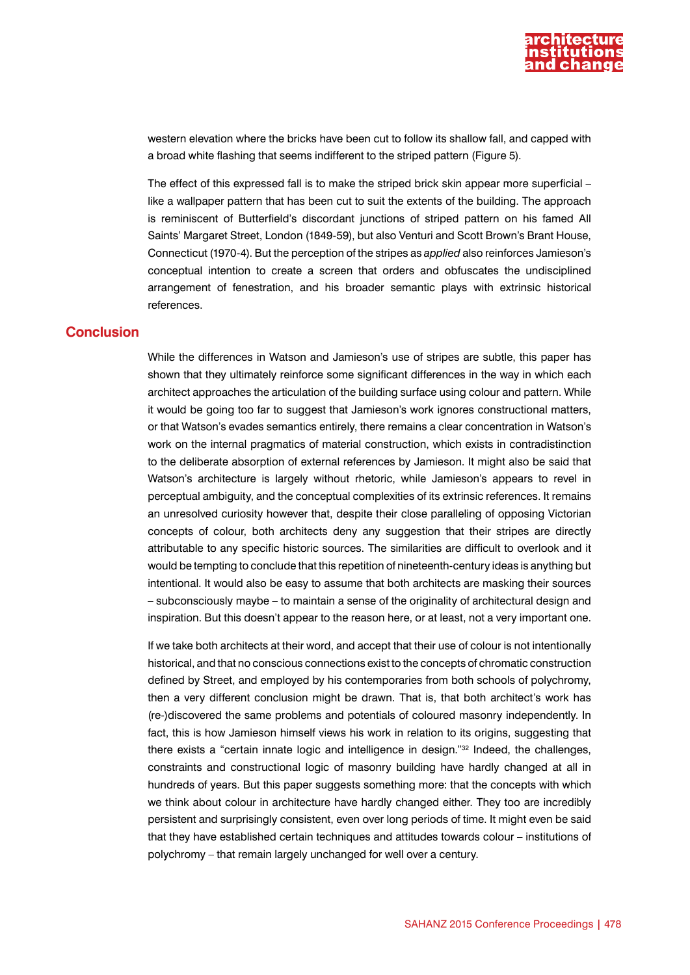

western elevation where the bricks have been cut to follow its shallow fall, and capped with a broad white flashing that seems indifferent to the striped pattern (Figure 5).

The effect of this expressed fall is to make the striped brick skin appear more superficial – like a wallpaper pattern that has been cut to suit the extents of the building. The approach is reminiscent of Butterfield's discordant junctions of striped pattern on his famed All Saints' Margaret Street, London (1849-59), but also Venturi and Scott Brown's Brant House, Connecticut (1970-4). But the perception of the stripes as *applied* also reinforces Jamieson's conceptual intention to create a screen that orders and obfuscates the undisciplined arrangement of fenestration, and his broader semantic plays with extrinsic historical references.

## **Conclusion**

While the differences in Watson and Jamieson's use of stripes are subtle, this paper has shown that they ultimately reinforce some significant differences in the way in which each architect approaches the articulation of the building surface using colour and pattern. While it would be going too far to suggest that Jamieson's work ignores constructional matters, or that Watson's evades semantics entirely, there remains a clear concentration in Watson's work on the internal pragmatics of material construction, which exists in contradistinction to the deliberate absorption of external references by Jamieson. It might also be said that Watson's architecture is largely without rhetoric, while Jamieson's appears to revel in perceptual ambiguity, and the conceptual complexities of its extrinsic references. It remains an unresolved curiosity however that, despite their close paralleling of opposing Victorian concepts of colour, both architects deny any suggestion that their stripes are directly attributable to any specific historic sources. The similarities are difficult to overlook and it would be tempting to conclude that this repetition of nineteenth-century ideas is anything but intentional. It would also be easy to assume that both architects are masking their sources – subconsciously maybe – to maintain a sense of the originality of architectural design and inspiration. But this doesn't appear to the reason here, or at least, not a very important one.

If we take both architects at their word, and accept that their use of colour is not intentionally historical, and that no conscious connections exist to the concepts of chromatic construction defined by Street, and employed by his contemporaries from both schools of polychromy, then a very different conclusion might be drawn. That is, that both architect's work has (re-)discovered the same problems and potentials of coloured masonry independently. In fact, this is how Jamieson himself views his work in relation to its origins, suggesting that there exists a "certain innate logic and intelligence in design."32 Indeed, the challenges, constraints and constructional logic of masonry building have hardly changed at all in hundreds of years. But this paper suggests something more: that the concepts with which we think about colour in architecture have hardly changed either. They too are incredibly persistent and surprisingly consistent, even over long periods of time. It might even be said that they have established certain techniques and attitudes towards colour – institutions of polychromy – that remain largely unchanged for well over a century.